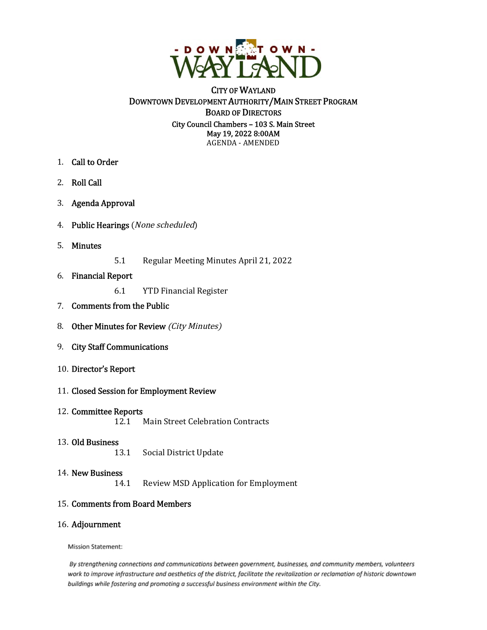

# CITY OF WAYLAND DOWNTOWN DEVELOPMENT AUTHORITY/MAIN STREET PROGRAM BOARD OF DIRECTORS City Council Chambers – 103 S. Main Street May 19, 2022 8:00AM AGENDA - AMENDED

- 1. Call to Order
- 2. Roll Call
- 3. Agenda Approval
- 4. Public Hearings (None scheduled)
- 5. Minutes
- 5.1 Regular Meeting Minutes April 21, 2022
- 6. Financial Report
	- 6.1 YTD Financial Register
- 7. Comments from the Public
- 8. Other Minutes for Review (City Minutes)
- 9. City Staff Communications
- 10. Director's Report
- 11. Closed Session for Employment Review
- 12. Committee Reports<br>12.1

**Main Street Celebration Contracts** 

13. **Old Business** 13.1

Social District Update

14. New Business<br>14.1

Review MSD Application for Employment

## 15. Comments from Board Members

## 16. Adjournment

**Mission Statement:** 

By strengthening connections and communications between government, businesses, and community members, volunteers work to improve infrastructure and aesthetics of the district, facilitate the revitalization or reclamation of historic downtown buildings while fostering and promoting a successful business environment within the City.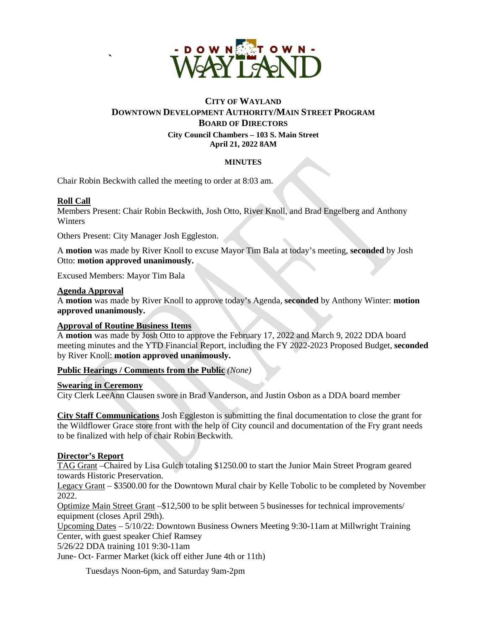

# **CITY OF WAYLAND DOWNTOWN DEVELOPMENT AUTHORITY/MAIN STREET PROGRAM BOARD OF DIRECTORS City Council Chambers – 103 S. Main Street April 21, 2022 8AM**

## **MINUTES**

Chair Robin Beckwith called the meeting to order at 8:03 am.

## **Roll Call**

Members Present: Chair Robin Beckwith, Josh Otto, River Knoll, and Brad Engelberg and Anthony Winters

Others Present: City Manager Josh Eggleston.

A **motion** was made by River Knoll to excuse Mayor Tim Bala at today's meeting, **seconded** by Josh Otto: **motion approved unanimously.**

Excused Members: Mayor Tim Bala

**`** 

## **Agenda Approval**

A **motion** was made by River Knoll to approve today's Agenda, **seconded** by Anthony Winter: **motion approved unanimously.** 

### **Approval of Routine Business Items**

A **motion** was made by Josh Otto to approve the February 17, 2022 and March 9, 2022 DDA board meeting minutes and the YTD Financial Report, including the FY 2022-2023 Proposed Budget, **seconded** by River Knoll: **motion approved unanimously.**

## **Public Hearings / Comments from the Public** *(None)*

## **Swearing in Ceremony**

City Clerk LeeAnn Clausen swore in Brad Vanderson, and Justin Osbon as a DDA board member

**City Staff Communications** Josh Eggleston is submitting the final documentation to close the grant for the Wildflower Grace store front with the help of City council and documentation of the Fry grant needs to be finalized with help of chair Robin Beckwith.

## **Director's Report**

TAG Grant –Chaired by Lisa Gulch totaling \$1250.00 to start the Junior Main Street Program geared towards Historic Preservation.

Legacy Grant – \$3500.00 for the Downtown Mural chair by Kelle Tobolic to be completed by November 2022.

Optimize Main Street Grant –\$12,500 to be split between 5 businesses for technical improvements/ equipment (closes April 29th).

Upcoming Dates – 5/10/22: Downtown Business Owners Meeting 9:30-11am at Millwright Training Center, with guest speaker Chief Ramsey

5/26/22 DDA training 101 9:30-11am

June- Oct- Farmer Market (kick off either June 4th or 11th)

Tuesdays Noon-6pm, and Saturday 9am-2pm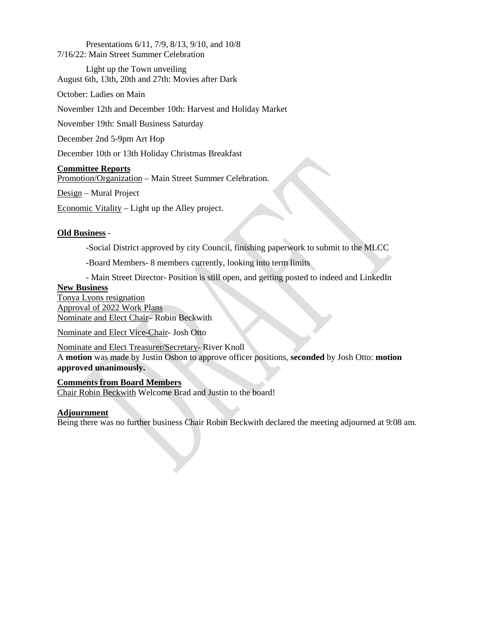Presentations 6/11, 7/9, 8/13, 9/10, and 10/8 7/16/22: Main Street Summer Celebration

Light up the Town unveiling August 6th, 13th, 20th and 27th: Movies after Dark

October: Ladies on Main

November 12th and December 10th: Harvest and Holiday Market

November 19th: Small Business Saturday

December 2nd 5-9pm Art Hop

December 10th or 13th Holiday Christmas Breakfast

## **Committee Reports**

Promotion/Organization – Main Street Summer Celebration.

Design – Mural Project

Economic Vitality – Light up the Alley project.

## **Old Business** *-*

-Social District approved by city Council, finishing paperwork to submit to the MLCC

*-*Board Members- 8 members currently, looking into term limits

*-* Main Street Director- Position is still open, and getting posted to indeed and LinkedIn

## **New Business**

Tonya Lyons resignation Approval of 2022 Work Plans Nominate and Elect Chair– Robin Beckwith

Nominate and Elect Vice-Chair- Josh Otto

Nominate and Elect Treasurer/Secretary- River Knoll A **motion** was made by Justin Osbon to approve officer positions, **seconded** by Josh Otto: **motion approved unanimously.** 

**Comments from Board Members** Chair Robin Beckwith Welcome Brad and Justin to the board!

## **Adjournment**

Being there was no further business Chair Robin Beckwith declared the meeting adjourned at 9:08 am.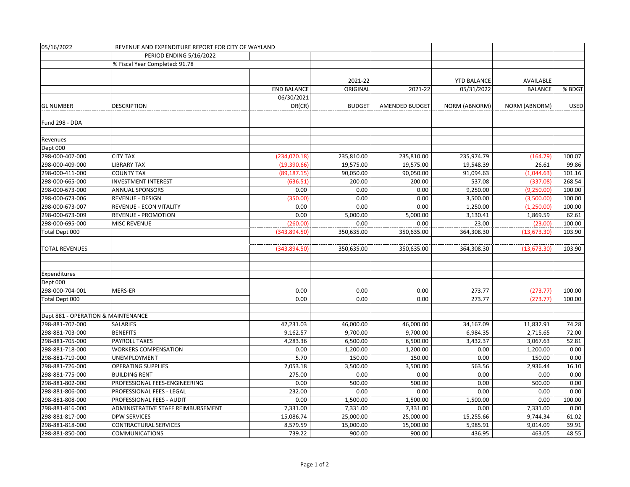| 05/16/2022                         | REVENUE AND EXPENDITURE REPORT FOR CITY OF WAYLAND |                    |               |                |                    |                      |        |
|------------------------------------|----------------------------------------------------|--------------------|---------------|----------------|--------------------|----------------------|--------|
|                                    | PERIOD ENDING 5/16/2022                            |                    |               |                |                    |                      |        |
|                                    | % Fiscal Year Completed: 91.78                     |                    |               |                |                    |                      |        |
|                                    |                                                    |                    |               |                |                    |                      |        |
|                                    |                                                    |                    | 2021-22       |                | <b>YTD BALANCE</b> | AVAILABLE            |        |
|                                    |                                                    | <b>END BALANCE</b> | ORIGINAL      | 2021-22        | 05/31/2022         | <b>BALANCE</b>       | % BDGT |
|                                    |                                                    | 06/30/2021         |               |                |                    |                      |        |
| <b>GL NUMBER</b>                   | <b>DESCRIPTION</b>                                 | DR(CR)             | <b>BUDGET</b> | AMENDED BUDGET | NORM (ABNORM)      | <b>NORM (ABNORM)</b> | USED   |
|                                    |                                                    |                    |               |                |                    |                      |        |
| Fund 298 - DDA                     |                                                    |                    |               |                |                    |                      |        |
|                                    |                                                    |                    |               |                |                    |                      |        |
| Revenues                           |                                                    |                    |               |                |                    |                      |        |
| Dept 000                           |                                                    |                    |               |                |                    |                      |        |
| 298-000-407-000                    | <b>CITY TAX</b>                                    | (234,070.18)       | 235,810.00    | 235,810.00     | 235,974.79         | (164.79)             | 100.07 |
| 298-000-409-000                    | <b>LIBRARY TAX</b>                                 | (19,390.66)        | 19,575.00     | 19,575.00      | 19,548.39          | 26.61                | 99.86  |
| 298-000-411-000                    | <b>COUNTY TAX</b>                                  | (89, 187.15)       | 90,050.00     | 90,050.00      | 91,094.63          | (1,044.63)           | 101.16 |
| 298-000-665-000                    | <b>INVESTMENT INTEREST</b>                         | (636.51)           | 200.00        | 200.00         | 537.08             | (337.08)             | 268.54 |
| 298-000-673-000                    | ANNUAL SPONSORS                                    | 0.00               | 0.00          | 0.00           | 9,250.00           | (9,250.00)           | 100.00 |
| 298-000-673-006                    | <b>REVENUE - DESIGN</b>                            | (350.00)           | 0.00          | 0.00           | 3,500.00           | (3,500.00)           | 100.00 |
| 298-000-673-007                    | REVENUE - ECON VITALITY                            | 0.00               | 0.00          | 0.00           | 1,250.00           | (1,250.00)           | 100.00 |
| 298-000-673-009                    | <b>REVENUE - PROMOTION</b>                         | 0.00               | 5,000.00      | 5,000.00       | 3,130.41           | 1,869.59             | 62.61  |
| 298-000-695-000                    | <b>MISC REVENUE</b>                                | (260.00)           | 0.00          | 0.00           | 23.00              | (23.00)              | 100.00 |
| Total Dept 000                     |                                                    | (343,894.50)       | 350,635.00    | 350,635.00     | 364,308.30         | (13, 673.30)         | 103.90 |
|                                    |                                                    |                    |               |                |                    |                      |        |
| <b>TOTAL REVENUES</b>              |                                                    | (343, 894.50)      | 350,635.00    | 350,635.00     | 364,308.30         | (13, 673.30)         | 103.90 |
|                                    |                                                    |                    |               |                |                    |                      |        |
|                                    |                                                    |                    |               |                |                    |                      |        |
| Expenditures                       |                                                    |                    |               |                |                    |                      |        |
| Dept 000                           |                                                    |                    |               |                |                    |                      |        |
| 298-000-704-001                    | MERS-ER                                            | 0.00               | 0.00          | 0.00           | 273.77             | (273.77)             | 100.00 |
| Total Dept 000                     |                                                    | 0.00               | 0.00          | 0.00           | 273.77             | (273.77)             | 100.00 |
|                                    |                                                    |                    |               |                |                    |                      |        |
| Dept 881 - OPERATION & MAINTENANCE |                                                    |                    |               |                |                    |                      |        |
| 298-881-702-000                    | SALARIES                                           | 42,231.03          | 46,000.00     | 46,000.00      | 34,167.09          | 11,832.91            | 74.28  |
| 298-881-703-000                    | <b>BENEFITS</b>                                    | 9,162.57           | 9,700.00      | 9,700.00       | 6,984.35           | 2,715.65             | 72.00  |
| 298-881-705-000                    | <b>PAYROLL TAXES</b>                               | 4,283.36           | 6,500.00      | 6,500.00       | 3,432.37           | 3,067.63             | 52.81  |
| 298-881-718-000                    | <b>WORKERS COMPENSATION</b>                        | 0.00               | 1,200.00      | 1,200.00       | 0.00               | 1,200.00             | 0.00   |
| 298-881-719-000                    | UNEMPLOYMENT                                       | 5.70               | 150.00        | 150.00         | 0.00               | 150.00               | 0.00   |
| 298-881-726-000                    | <b>OPERATING SUPPLIES</b>                          | 2,053.18           | 3,500.00      | 3,500.00       | 563.56             | 2,936.44             | 16.10  |
| 298-881-775-000                    | <b>BUILDING RENT</b>                               | 275.00             | 0.00          | 0.00           | 0.00               | 0.00                 | 0.00   |
| 298-881-802-000                    | PROFESSIONAL FEES-ENGINEERING                      | 0.00               | 500.00        | 500.00         | 0.00               | 500.00               | 0.00   |
| 298-881-806-000                    | PROFESSIONAL FEES - LEGAL                          | 232.00             | 0.00          | 0.00           | 0.00               | 0.00                 | 0.00   |
| 298-881-808-000                    | PROFESSIONAL FEES - AUDIT                          | 0.00               | 1,500.00      | 1,500.00       | 1,500.00           | 0.00                 | 100.00 |
| 298-881-816-000                    | ADMINISTRATIVE STAFF REIMBURSEMENT                 | 7,331.00           | 7,331.00      | 7,331.00       | 0.00               | 7,331.00             | 0.00   |
| 298-881-817-000                    | <b>DPW SERVICES</b>                                | 15,086.74          | 25,000.00     | 25,000.00      | 15,255.66          | 9,744.34             | 61.02  |
| 298-881-818-000                    | <b>CONTRACTURAL SERVICES</b>                       | 8,579.59           | 15,000.00     | 15,000.00      | 5,985.91           | 9,014.09             | 39.91  |
| 298-881-850-000                    | <b>COMMUNICATIONS</b>                              | 739.22             | 900.00        | 900.00         | 436.95             | 463.05               | 48.55  |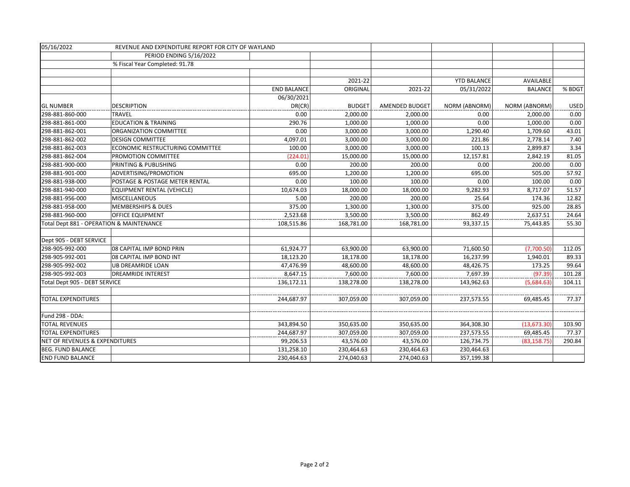| 05/16/2022                               | REVENUE AND EXPENDITURE REPORT FOR CITY OF WAYLAND |                    |               |                |                    |                      |             |
|------------------------------------------|----------------------------------------------------|--------------------|---------------|----------------|--------------------|----------------------|-------------|
|                                          | PERIOD ENDING 5/16/2022                            |                    |               |                |                    |                      |             |
|                                          | % Fiscal Year Completed: 91.78                     |                    |               |                |                    |                      |             |
|                                          |                                                    |                    |               |                |                    |                      |             |
|                                          |                                                    |                    | 2021-22       |                | <b>YTD BALANCE</b> | AVAILABLE            |             |
|                                          |                                                    | <b>END BALANCE</b> | ORIGINAL      | 2021-22        | 05/31/2022         | <b>BALANCE</b>       | % BDGT      |
|                                          |                                                    | 06/30/2021         |               |                |                    |                      |             |
| <b>GL NUMBER</b>                         | <b>DESCRIPTION</b>                                 | DR(CR)             | <b>BUDGET</b> | AMENDED BUDGET | NORM (ABNORM)      | <b>NORM (ABNORM)</b> | <b>USED</b> |
| 298-881-860-000                          | <b>TRAVEL</b>                                      | 0.00               | 2,000.00      | 2,000.00       | 0.00               | 2,000.00             | 0.00        |
| 298-881-861-000                          | <b>EDUCATION &amp; TRAINING</b>                    | 290.76             | 1,000.00      | 1,000.00       | 0.00               | 1,000.00             | 0.00        |
| 298-881-862-001                          | ORGANIZATION COMMITTEE                             | 0.00               | 3,000.00      | 3,000.00       | 1,290.40           | 1,709.60             | 43.01       |
| 298-881-862-002                          | <b>DESIGN COMMITTEE</b>                            | 4,097.01           | 3,000.00      | 3,000.00       | 221.86             | 2,778.14             | 7.40        |
| 298-881-862-003                          | ECONOMIC RESTRUCTURING COMMITTEE                   | 100.00             | 3,000.00      | 3,000.00       | 100.13             | 2,899.87             | 3.34        |
| 298-881-862-004                          | PROMOTION COMMITTEE                                | (224.01)           | 15,000.00     | 15,000.00      | 12,157.81          | 2,842.19             | 81.05       |
| 298-881-900-000                          | PRINTING & PUBLISHING                              | 0.00               | 200.00        | 200.00         | 0.00               | 200.00               | 0.00        |
| 298-881-901-000                          | ADVERTISING/PROMOTION                              | 695.00             | 1,200.00      | 1,200.00       | 695.00             | 505.00               | 57.92       |
| 298-881-938-000                          | POSTAGE & POSTAGE METER RENTAL                     | 0.00               | 100.00        | 100.00         | 0.00               | 100.00               | 0.00        |
| 298-881-940-000                          | <b>EQUIPMENT RENTAL (VEHICLE)</b>                  | 10,674.03          | 18,000.00     | 18,000.00      | 9,282.93           | 8,717.07             | 51.57       |
| 298-881-956-000                          | <b>MISCELLANEOUS</b>                               | 5.00               | 200.00        | 200.00         | 25.64              | 174.36               | 12.82       |
| 298-881-958-000                          | <b>MEMBERSHIPS &amp; DUES</b>                      | 375.00             | 1,300.00      | 1,300.00       | 375.00             | 925.00               | 28.85       |
| 298-881-960-000                          | <b>OFFICE EQUIPMENT</b>                            | 2,523.68           | 3,500.00      | 3,500.00       | 862.49             | 2,637.51             | 24.64       |
| Total Dept 881 - OPERATION & MAINTENANCE |                                                    | 108,515.86         | 168,781.00    | 168,781.00     | 93,337.15          | 75,443.85            | 55.30       |
|                                          |                                                    |                    |               |                |                    |                      |             |
| Dept 905 - DEBT SERVICE                  |                                                    |                    |               |                |                    |                      |             |
| 298-905-992-000                          | 08 CAPITAL IMP BOND PRIN                           | 61,924.77          | 63,900.00     | 63,900.00      | 71,600.50          | (7,700.50)           | 112.05      |
| 298-905-992-001                          | 08 CAPITAL IMP BOND INT                            | 18,123.20          | 18,178.00     | 18,178.00      | 16,237.99          | 1,940.01             | 89.33       |
| 298-905-992-002                          | UB DREAMRIDE LOAN                                  | 47,476.99          | 48,600.00     | 48,600.00      | 48,426.75          | 173.25               | 99.64       |
| 298-905-992-003                          | <b>DREAMRIDE INTEREST</b>                          | 8,647.15           | 7,600.00      | 7,600.00       | 7,697.39           | (97.39)              | 101.28      |
| Total Dept 905 - DEBT SERVICE            |                                                    | 136,172.11         | 138,278.00    | 138,278.00     | 143,962.63         | (5,684.63)           | 104.11      |
|                                          |                                                    |                    |               |                |                    |                      |             |
| <b>TOTAL EXPENDITURES</b>                |                                                    | 244,687.97         | 307,059.00    | 307,059.00     | 237,573.55         | 69,485.45            | 77.37       |
|                                          |                                                    |                    |               |                |                    |                      |             |
| Fund 298 - DDA:                          |                                                    |                    |               |                |                    |                      |             |
| <b>TOTAL REVENUES</b>                    |                                                    | 343,894.50         | 350,635.00    | 350,635.00     | 364,308.30         | (13, 673.30)         | 103.90      |
| <b>TOTAL EXPENDITURES</b>                |                                                    | 244,687.97         | 307,059.00    | 307,059.00     | 237,573.55         | 69,485.45            | 77.37       |
| NET OF REVENUES & EXPENDITURES           |                                                    | 99,206.53          | 43,576.00     | 43,576.00      | 126,734.75         | (83, 158.75)         | 290.84      |
| <b>BEG. FUND BALANCE</b>                 |                                                    | 131,258.10         | 230,464.63    | 230,464.63     | 230,464.63         |                      |             |
| <b>END FUND BALANCE</b>                  |                                                    | 230,464.63         | 274,040.63    | 274,040.63     | 357,199.38         |                      |             |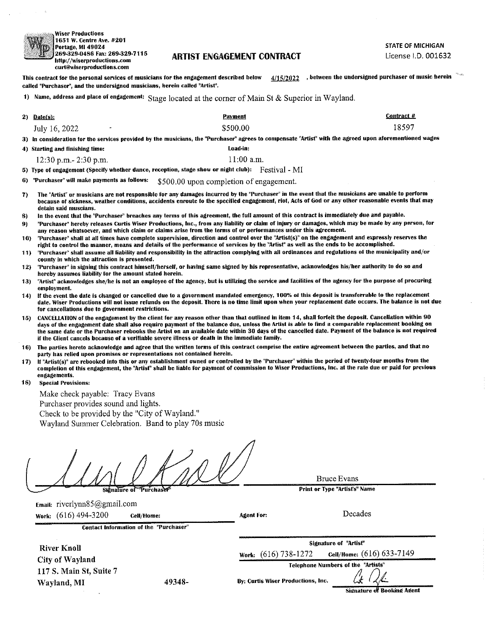| ٧      |
|--------|
| 1      |
| i<br>F |
| Į2     |
| Æ      |

#### .Wiser Productions 651 W. Centre Ave. #201 <sup>2</sup>ortage, Ml 49024 g269.329.0486 Fax: 269-329-7115 http://wiserproductions.com curt@wiserproductions.com

## **ARTIST ENGAGEMENT CONTRACT**

STATE OF MICHIGAN

License I.D. 001632

 $4/15/2022$  , between the undersigned purchaser of music herein This contract for the personal services of musicians for the engagement described below called "Purchaser", and the undersigned musicians, herein called "Artist".

| 1) Name, address and place of engagement: Stage located at the corner of Main St & Superior in Wayland. |  |  |  |  |  |  |  |
|---------------------------------------------------------------------------------------------------------|--|--|--|--|--|--|--|
|---------------------------------------------------------------------------------------------------------|--|--|--|--|--|--|--|

| II – Name, address and place of engagement: | Stage located at the corner of Main St $\&$ Superior in Wayland.                                                                                        |            |
|---------------------------------------------|---------------------------------------------------------------------------------------------------------------------------------------------------------|------------|
| $2)$ Date(s):                               | Payment                                                                                                                                                 | Contract # |
| July 16, 2022<br>$\hat{\phantom{a}}$        | \$500.00                                                                                                                                                | 18597      |
|                                             | 3) In consideration for the services provided by the musicians, the "Purchaser" agrees to compensate "Artist" with the agreed upon aforementioned wages |            |
| 4) Starting and finishing time:             | Load-in:                                                                                                                                                |            |
| $12:30$ p.m. $-2:30$ p.m.                   | $11:00$ a.m.                                                                                                                                            |            |
|                                             |                                                                                                                                                         |            |

5) Type of engagement (Specify whether dance, reception, stage show or night club): Festival - MI

C) "Purchaser" will make payments as foliows: \$500.00 Upon completion of engagement.

- 7) The "Artist" or musicians are nut responsible for any damages incurred by the "Purchaser" in the event that the musicians are unable to perform because of sickness, weather conditions, accidents cnroute to the specitied engagement, riot, Acts of God or any other reasonable events that may detain said muscians.
- 8) In the event that the "Purchaser" breaches any terms of this agreement, the full amount of this contract is immediately due and payable.
- 9) "Purchaser" hereby releases Curtis Wiser Productions, inc., from any liability or claim of injury or damages, which may be made by any person, fur any reason whatsoever, and which claim or claims arise from the terms of or performances under this agreement.
- 10) "Purchaser" shall at all times have complete supervision, direction and control over the "Artist(s)" on the engagement and expressly reserves the right to control the manner, means and details of the performance of services by the "Artist" as well as the ends to be accomplished.
- 11) "Purchaser" shall assume all iiability and responsibility in the attraction complying with all ordinances and regulations of the municipaiity and/or county in which the attraction is presented.
- 12) "Purchaser" in signing this contract himself/herself, or having same signed by his representative, acknowledges his/her authority to do so and hereby assumes liability for the amount stated herein.
- 13) "Artist" acknowledges she/he is not an employee of the agency, but is utilizing the service and facilities of the agency for the purpose of procuring employment.
- 14) if the event the date is changed or cancelled due to a government mandated emergency, 100% of this deposit is transferrable to the replacement date. Wiser Productions will not issue refunds on the deposit. There is no time limit upon when your replacement date occurs. The balance is not due for cancellations due to government restrictions.
- 15) CANCELLATION of the engagement by the client for any reason other than that outlined in item 14, shall forfeit the deposit. Canceliation within 90 days of the engagement date shall also require payment of the balance due, unless the Artist is able to find a comparable replacement booking on the same date or the Purchaser rebooks the Artist on an available date within 30 days of the cancelled date. Payment of the balance is not required if the Client cancels because of a verifiable severe iilness or death in the immediate family.
- 16) The parties hereto acknowledge and agree that the written terms of this contract comprise the entire agreement between the parties, and that no party has relied upon promises or representations not contained herein.
- 17) If "Artist(s)" are rebooked into this or any establishment owned or controlled by the "Purchaser" within the period of twenty-four months from the completion of this engagement, the "Artist" shall be liable for payment of commission to Wiser Productions, Inc. at the rate due or paid for previous engagements.
- 18) Special Provisions;

Make check payable: Tracy Evans Purchaser provides sound and lights. Check to be provided by the "City of Wayland." Wayland Summer Celebration. Band to play 70s music

 $S<sub>h</sub>$ *E*nature of

**Bruce Evans** 

Print or Type "Artist's" Name

Signature of "Artist" Work: (616) 738-1272 CeM/Home: (616) 633-7149 Telephone Numbers of the "Artists"

Decades

 $\mathcal{L}$ 

Email: riverlynn85@gmail.com Work: (616)494-3200 Cell/Home:

Contact Information o1 the "Purchaser"

River KnoU CityofWayland 117 S. Main St, Suite 7 Wayland, MI 49348-

By: Curtis Wiser Productions, Inc.

Agent For;

Signature of Booking Agent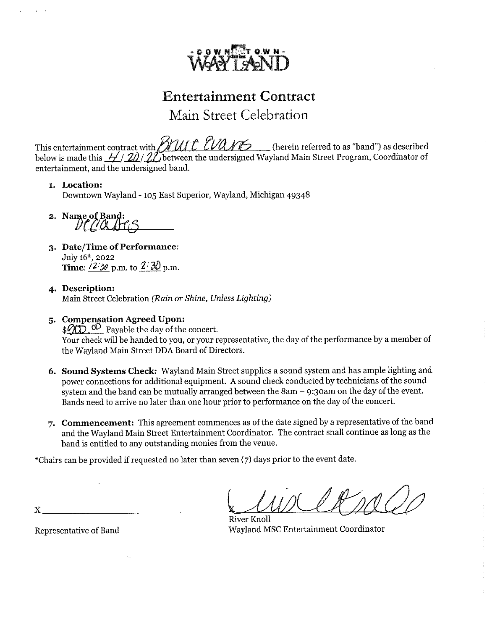

Main Street Celebration

This entertainment contract with  $\beta$ MI( $\beta$  U)U( $\gamma$  ) (herein referred to as "band") as described below is made this  $\frac{1}{2}$ /  $\frac{20}{2}$ /  $\frac{20}{20}$  between the undersigned Wayland Main Street Program, Coordinator of entertainment, and the undersigned band.

## l. Location:

Downtown Wayland -105 East Superior, Wayland, Michigan 49348

2. Name of Band:<br>  $Df/Mf(s)$ 

- 3. Date/Time of Performance: July l6t}), 2022 Time:  $\sqrt{2/30}$  p.m. to  $2/30$  p.m.
- 4. Description: Main Street Celebration (Rain or Shine, Unless Lighting)
- 5. Compensation Agreed Upon:

 $\frac{1}{2}$   $\mathcal{O}$  Payable the day of the concert. Your check will be handed to you, or your representative, the day of the performance by a member of the Wayland Main Street DDA Board of Directors.

- 6. Sound Systems Check: Wayland Main Street supplies a sound system and has ample lighting and power connections for additional equipment. A sound check conducted by technicians of the sound system and the band can be mutually arranged between the  $8am - 9:3$  oam on the day of the event. Bands need to arrive no later than one hour prior to performance on the day of the concert.
- 7. Commencement: This agreement commences as of the date signed by a representative of the band and the Wayland Main Street Entertainment Coordinator. The contract shall continue as long as the band is entitled to any outstanding monies from the venue.

\*Chairs can be provided if requested no later than seven (7) days prior to the event date.

River KnoU Wayland MSC Entertainment Coordinator

Representative of Band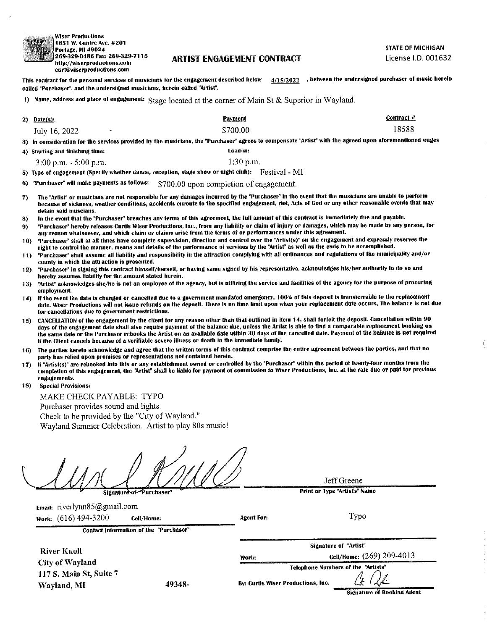

.Wiser Productions E1651 W. Centre Ave. #201 Portage, MI 49024 1269-329.0486 Fax: 269.329-7115 http://wiserproductions.com curt@wiserproductiuns.coin

### **ARTIST ENGAGEMENT CONTRACT**

STATE OF MICHIGAN License I.D. 001632

4/15/2022 , between the undersigned purchaser of music herein This contract for the personal services of musicians for the engagement described below called "Purchaser", and the undersigned musicians, herein called "Artist".

|                                           | 1) Name, address and place of engagement: Stage located at the corner of Main St & Superior in Wayland.                                                 |            |
|-------------------------------------------|---------------------------------------------------------------------------------------------------------------------------------------------------------|------------|
| 2) Date(s):                               | Payment                                                                                                                                                 | Contract # |
| July 16, 2022<br>$\overline{\phantom{0}}$ | \$700.00                                                                                                                                                | 18588      |
|                                           | 3) In consideration for the services provided by the musicians, the "Purchaser" agrees to compensate "Artist" with the agreed upon aforementioned wages |            |

- 
- 4) Starting and finishing time: Load-in:

 $3:00 \text{ p.m.} - 5:00 \text{ p.m.}$  1:30 p.m.

5) Type of engagement (Specify whether dance, reception, stage show or night club): Festival - MI

- 6) "Purchaser" will make payments as follows: \$700.00 Upon completion of engagement,
- 7) The "Artist" or musicians are not responsible for any damages incurred by the "Purchaser" in the event thai the musicians are unable to perform because of sickness, weather conditions, accidents enroute to the specified engagement, riot, Acts of God or any other reasonable events that may detain said muscians,
- 8) In the event that the "Purchaser" breaches any terms of this agreement, the full amount of this contract is immediately due and payable.
- 9) "Purchaser" hereby releases Curtis Wiser Productions, Enc., from any liability or claim of injury or damages, which may be made by any person, for any reason whatsoever, and which daim or claims arise from the terms of or performances under this agreement.
- 10) "Purchaser" shall at all times have complete supervision, direction and control over the "Artist(s)" on the engagement and expressly reserves the right to control the manner, means and details of the performance of services by the "Artist" as well as the ends to be accomplished.
- 11) "Purchaser" shall assume ail liability and responsibilily in the attraction complying with all ordinances and regulations of the municipality and/or county in which the attraction is presented.
- 12) "Purchaser" in signing this contract himself/herself, or having same signed by his representative, acknowledges his/her authority to do so and hereby assumes liability for the amount stated herein.
- 13) "Artist" acknowledges she/he is not an employee of the agency, but is utilizing the service and facilities of the agency for the purpose of procuring employment.
- 14) If the event the date is changed or cancelled due to a government mandated emergency, 100% of this deposit is transterrable to the replacement date. Wiser Productions will not issue refunds on the deposit. There is no time limit upon when your replacement date occurs. The balance is not due for cancellations due to government restrictions.
- 15) CANCELLATION of the engagement by the client for any reason other than that outlined in item 14, shall forfeit the deposit. Cancellation within 90 days of the engagement date shall also require payment of the balance due, unless the Artist is able to find a comparable replacement booking on the same date or the Purchaser reboohs the Artist on an available date within 30 days of the cancelled date. Payment of the balance is not required if the Client cancels because of a verifiable severe illness or death in the immediate famiiy.
- 16) The parties hereto acknowledge and agree that the written terms of this contract comprise the entire agreement behveen the parties, and that no party has relied upon promises or representations not contained herein,
- 17) If "Artist(s)" are rebooked into this or any establishment owned or controlled by the "Purchaser" within the period of Iwenty-four months from the completion of this engagement, the "Artist" shall be liable for payment of commission to Wiser Productions, Inc. at the rate due or paid for previous engagements.
- 18) Special Provisions:

MAKE CHECK PAYABLE: TYPO Purchaser provides sound and lights. Check to be provided by the "City of Wayland." Wayland Summer Celebration. Artist to play 80s music!

Signature of Purchaser

Jeff Greene

Print or Type "Artist's" Name

Signature of "Artist"

Typo

Email: riverlynn85@gmail.com Work: (616)494-3200 Cell/Home:

Contact Information of the "Purchaser"

**River Knoll** CityofWayIand 117 S. Main St, Suite 7 Wayland, MI 49348-

By: Curtis Wiser Productions, Inc.

Agent Fur:

Work:

Telephone Numbers of the "Artists" Signature of Booking Agent

Cell/Home: (269)209-4013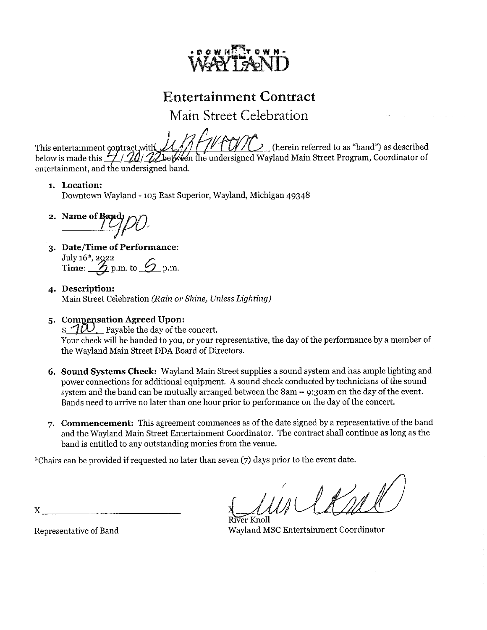

Main Street Celebration

This entertainment contract,with  $\mathcal{U}/\mathcal{U}/\mathcal{V}$  (herein referred to as "band") as described below is made this  $\frac{1}{2}$  /  $\frac{20}{\sqrt{2}}$  between the undersigned Wayland Main Street Program, Coordinator of entertainment, and the undersigned band.

## i. Location:

Downtown Wayland -105 East Superior, Wayland, Michigan 49348

2. Name of Band

- 3. Date/Time of Performance :  $\rm{July}$  16<sup>th</sup>, 2Q22 Time:  $\mathcal{D}_{\text{p.m.}}$  to  $\mathcal{D}_{\text{p.m.}}$
- 4. Description: Main Street Celebration (Rain or Shine, Unless Lighting)

# 5. Compensation Agreed Upon:

 $\partial \mathcal{D}$  Payable the day of the concert. Your check will be handed to you, or your representative, the day of the performance by a member of the Wayland Main Street DDA Board of Directors.

- 6. Sound Systems Check: Wayland Main Street supplies a sound system and has ample lighting and power connections for additional equipment. A sound check conducted by technicians of the sound system and the band can be mutually arranged between the  $8am - 9:30am$  on the day of the event. Bands need to arrive no later than one hour prior to performance on the day of the concert.
- 7. Commencement: This agreement commences as of the date signed by a representative of the band and the Wayland Main Street Entertainment Coordinator. The contract shall continue as long as the band is entitled to any outstanding monies from the venue.

^Chairs can be provided if requested no later than seven (7) days prior to the event date.

er Knoll Wayland MSC Entertainment Coordinator

Representative of Band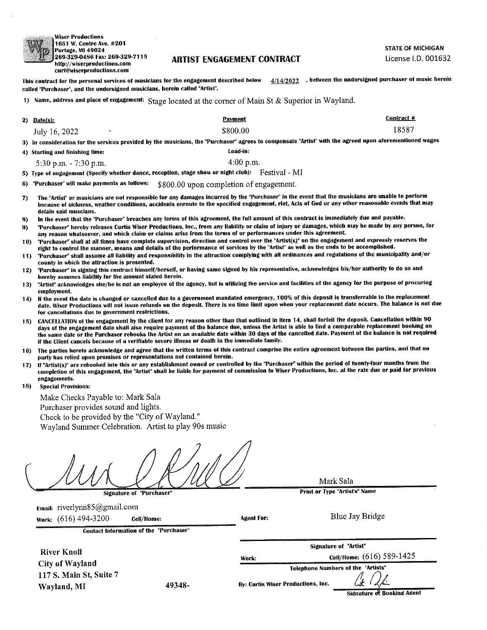.Wiser Productions 11651 W. Centre Ave. #201 Portage, MI 49024 1269-329-0486 Fax: 269-329.7115 http://wiserproductions.com curt@wiserproductions.com

### ARTIST FNGAGFMENT CONTRACT

STATE OF MICHIGAN License I.D. 001632

4/14/2022 , between the undersigned purchaser of music herein This contract for the personal services of musicians for the engagement described below called "Purchaser", and the undersigned musicians, herein called "Artist".

1) Name, address and place of engagement: Stage located at the corner of Main St & Superior in Wayland.

|               |        | - |                |                                                                                                            |
|---------------|--------|---|----------------|------------------------------------------------------------------------------------------------------------|
| 2) Date(s):   |        |   | <b>Payment</b> | Contract #                                                                                                 |
| July 16, 2022 | $\sim$ |   | \$800.00       | 18587                                                                                                      |
|               |        |   |                | the contract of the contract of the contract of the contract of the contract of<br>the company's company's |

upon aforementioned wages 3) In consideratiun for the services provided by the inusicians, the "Purchaser" agrees to compensate "Artist" with the agreed

4) Starting and finishing time: Load-in;

5:30 p.m.  $-7:30$  p.m.  $4:00$  p.m.

5) Type of engagement (Specify whether dance, reception, stage show or night club): Festival - MI

6) "Purchaser" mil make payments as follows: \$§00.00 Upon completion of engagement.

- 7) The "Artist" or musicians are not responsible for any damages incurred by the "Purchaser" in the event that the musicians are unable to perform because of sickness, weather conditions, accidents enroute to the specified engagement, riot, Acts of God or any other reasonable events that may detain said muscians.
- 8) In the event that the "Purchaser" breaches any terms of this agreement, the full amount of this contract is immediately due and payable.
- 9) "Purchaser" hereby releases Curtis Wiser Productions, Inc., from any liability or claim of injury or damages, which may be made by any person, for any reason whatsoever, and which claim or claims arise from the terms of or performances under this agreement.
- 10) "Purchaser" shall at all times have complete supervision, direction and control over the "Artisf(s)" on the engagement and expressly reserves the right to control the manner, means and details of the performance of services by the "Artist" as well as the ends to be accomplished.
- 11) "Purchaser" shall assume all liability and responsibility in the attraction complying with all ordinances and regulations of the municipalify and/or county in which the attraction is presented.
- 12) "Purchaser" in signing this contract himself/herself, or having same signed by his representative, acknowledges his/her authority to do so and hereby assumes liability for the amount stated herein.
- 13) "Artist" acknowledges she/he is not an employee ot the agency, but is utilizing the service and facilities of the agency for the purpose of procuring employment,
- 14) If the event the date is changed or cancelled due to a government mandated emergency, 100% of this deposit is translerrable to the replacement date. Wiser Productions will not issue refunds on the deposit. There is no time limit upon when your replacement date occurs. The balance is not due for cancellations due to government restrictions.
- 15) CANCELLATION of the engagement by the client for any reason other than that outlined in item 14, shall forfeit the deposit. Cancellation within 90 days of the engagement date shall also require payment of the balance due, unless the Artist is able to find a comparable replacement booking on the same date or the Purchaser rebooks the Artist on an avaifabie date within 30 days of the cancelled date. Payment of the balance is not required if the Client cancels because of a verifiable severe illness or death in the inmtediate family.
- 16) The parties hereto acknowledge and agree that the written terms of this contract comprise the entire agreement between the parties, and that no party has relied upon promises or representations not contained herein.
- 17) If "Artist(s)" are rebuohed into this or any establishment owned or controlled by the "Purchaser" within the period of hventy-four months from the completion of this engagement, the "Artist" shall be liable for payment of commission to Wiser Productions, Inc. at the rate due or paid for previous engagements.
- 18) Special Provisions:

Make Checks Payable to: Mark Sala Purchaser provides sound and lights. Check to be provided by the "City of Wayland." Wayland Summer Celebration. Artist to play 90s music

Signature of "Purchaser"

Mark Sala

Print or Type "Artist's" Mame

Email: riverlynn85@gmail.com Work: (616) 494-3200 Cell/Home: Contact Information of the "Purchaser" River Knol! City of Wayland 117 S. Main St, Suite 7 Wayland, MI 49348-Agent For: Blue Jay Bridge Work: Signature of "Artist" CeH/Home; (616)589-1425 Telephone Numbers ot the "Artists" By: Curtis Wiser Productions, Inc. Signature of Booking Agent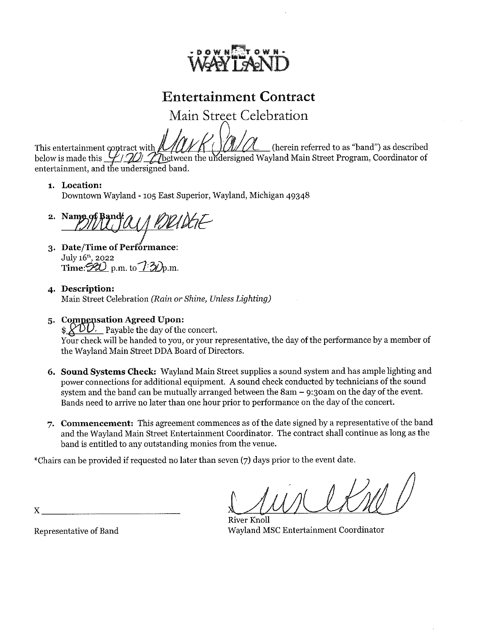

Main Street Celebration

This entertainment contract with  $\mathbb{Z}/\mathbb{Z}/\mathbb{Z} \cap \mathbb{Z}/\mathbb{Z}/\mathbb{Z}$  (herein referred to as "band") as described below is made this  $\mathcal{L}/\mathcal{L}/\mathcal{L}$  between the undersigned Wayland Main Street Program, Coordinator o entertainment, and the undersigned band.

# i. Location:

Downtown Wayland -105 East Superior, Wayland, Michigan 49348

2. Name of Band: a / Beldt-

- 3. Date/Time of Performance:  $\mathrm{July}$  16<sup>th</sup>, 2022 Time:  $\overbrace{{\mathscr{B}}{\mathscr{D}}}$  p.m. to  $\overbrace{{\mathscr{D}}{\mathscr{D}}}$ p.m.
- 4. Description: Main Street Celebration (Rain or Shine, Unless Lighting)
- 5. Compensation Agreed Upon:

 $\frac{1}{2}$   $\frac{1}{2}$  Payable the day of the concert. Your check wiU be handed to you, or your representative, the day of the performance by a member of the Wayland Main Street DDA Board of Directors.

- 6. Sound Systems Check: Wayland Main Street supplies a sound system and has ample lighting and power connections for additional equipment. A sound check conducted by technicians of the sound system and the band can be mutually arranged between the Sam - 9:3oam on the day of the event. Bands need to arrive no later than one hour prior to performance on the day of the concert.
- 7. Commencement: This agreement commences as of the date signed by a representative of the band and the Wayland Main Street Entertainment Coordinator. The contract shall continue as long as the band is entitled to any outstanding monies from the venue.

^Chairs can be provided if requested no later than seven (7) days prior to the event date.

River Knoll Wayland MSC Entertainment Coordinator

Representative of Band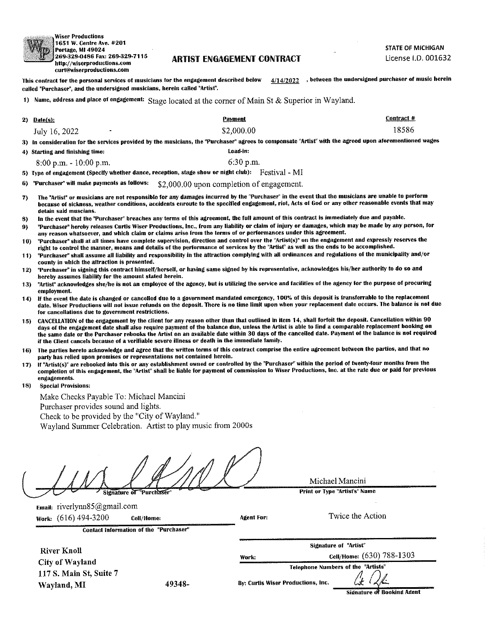

Wiser Productions !l651 W. Centre Ave. #201 Portage, MI 49024 i 269-329-0486 Fax: 269-329-7115 http://wiserproducfions.cum curt@wiserprodyctjons.com

### **ARTIST ENGAGEMENT CONTRACT**

STATE OF MICHIGAN License I.D. 001632

This contract for the personal services of musicians for the engagement described below called "Purchaser", and the undersigned musicians, herein called "Artist", 4/14/2022 > between the undersigned purchaser of music herein

1) Name, address and place of engagement:  $Stage$  located at the corner of Main St & Superior in Wayland.

| $2)$ Date(s): |           | Pavment    | Contract #                                                                                                                                              |
|---------------|-----------|------------|---------------------------------------------------------------------------------------------------------------------------------------------------------|
| July 16, 2022 | $\bullet$ | \$2.000.00 | 18586                                                                                                                                                   |
|               |           |            | 3) In consideration for the services provided by the musicians, the "Purchaser" agrees to compensate "Artist" with the agreed upon aforementioned wages |

4) Starting and finishing time; Load-in:

8:00 p.m. -10:00 p.m. 6:30 p.m.

5) Type of engagement (Specify whether dance, reception, stage show or night club): Festival - MI

6) "Purchaser" will make payments as follows: \$2,000.00 upon completion of engagement.

- 7) The "Artist" or musicians are not responsible for any damages incurred by the "Purchaser" in the event that the musicians are unable to perform because of sickness, weather conditions, accidents enroute to the specified engagement, riot, Acts of God or any other reasonable events that may detain said muscians.
- 8) In the event that the "Purchaser" breaches any terms of this agreement, the full amount of this contract is immediately due and payable.
- 9) "Purchaser" hereby releases Curtis Wiser Productions, Inc., from any liability or claim of injury or damages, which may be made by any person, for any reason whatsoever, and which claim or claims arise from the terms of or performances under this agreement.
- 10) "Purchaser" shall at all times have complete supervision, direction and control over the "Artist(s)" on the engagement and expressiy reserves the right to control the manner, means and detaiis of the performance at services by the "Artist" as well as the ends to be accomplished.
- 11) "Purchaser" shall assume all liability and responsibility in the attraction complying with all ordinances and regulations of the municipality and/or county in which the attraction is presented.
- 12) "Purchaser" in signing this contract himself/herselt, or having same signed by his representative, acltnowledges his/her authority to do so and hereby assumes liability far the amount stated herein.
- 13) "Artist" acknowledges she/he is not an employee of the agency, but is utiiizing the service and facilifies of the agency for the purpose of procuring employment,
- 14) If the event the date is changed or cancelled due to a government mandated emergency, 100% of this deposit is transferrable to the replacement date. Wiser Productions will not issue refunds on the deposit. There is no time limit upon when your replacement date occurs. The balance is not due for cancellations due to government restrictions.
- 15) CANCEliATiON of the engagement by the client for any reason other than that outlined in item 14, shall forfeit the deposit. Cancellation within 90 days of the engagement date shall also require payment of the balance due, unless the Artist is able to find a comparable replacement booking on the same date or the Purchaser rebooks the Artist on an available date within 30 days of the cancelled date. Payment of the balance is not required if the Client cancels because of a verifiable severe illness or death in the immediate family.
- 16) The parties hereto acknowledge and agree that the written terms of this contract comprise the entire agreement between the parties, and that no party has relied upon promises or representations not contained herein.
- 17) If "Artist(s)" are rebooked into this or any establishment owned or cuntroiled by the "Purchaser" within the period of fwenty-four months from the completion of this engagement, the "Artist" shall be liable for payment of commission to Wiser Productions, inc. at the rate due or paid for previous engagements.
- 18) Special Provisions;

Make Checks Payable To: Michael Mancini Purchaser provides sound and lights. Check to be provided by the "City of Wayland."

Wayland Summer Celebration. Artist to play music from 2000s

Signature of "Purchase

Michael Mancini

Print or Type "Artist's" Name

Signature of "Artist"

Telephone Numbers of the "Artists"

Twice the Action

Email: riveriynn85@gmail.com Work: (616)494-3200 CeM/Home:

Contact Information of the "Purchaser"

**River Knoll** City of Wayland 117 S. Main St, Suite 7 Wayland, MI 49348-

By; Curtis Wiser Productions, Inc.

**Agent For:** 

Work;

Signature of Booking Agent

Cell/Home: (630)788-1303